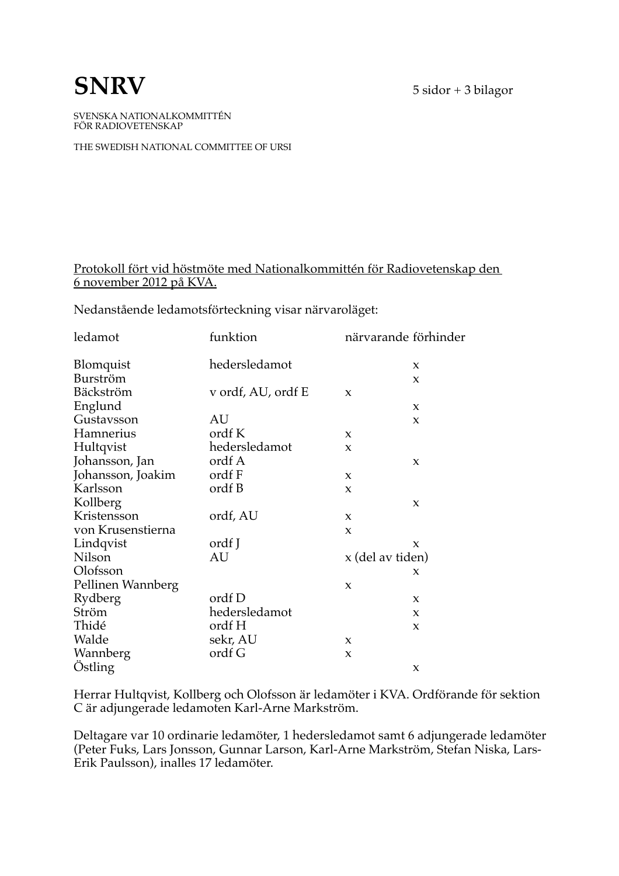$5$  sidor + 3 bilagor

## **SNRV**

SVENSKA NATIONALKOMMITTÉN FÖR RADIOVETENSKAP

THE SWEDISH NATIONAL COMMITTEE OF URSI

#### Protokoll fört vid höstmöte med Nationalkommittén för Radiovetenskap den 6 november 2012 på KVA.

Nedanstående ledamotsförteckning visar närvaroläget:

| ledamot           | funktion           |                     | närvarande förhinder |
|-------------------|--------------------|---------------------|----------------------|
| <b>Blomquist</b>  | hedersledamot      |                     | $\boldsymbol{\chi}$  |
| Burström          |                    |                     | X                    |
| Bäckström         | v ordf, AU, ordf E | X                   |                      |
| Englund           |                    |                     | X                    |
| Gustavsson        | AU                 |                     | X                    |
| Hamnerius         | ordf K             | X                   |                      |
| Hultqvist         | hedersledamot      | X                   |                      |
| Johansson, Jan    | ordf A             |                     | X                    |
| Johansson, Joakim | ordf F             | $\boldsymbol{\chi}$ |                      |
| Karlsson          | ordf B             | X                   |                      |
| Kollberg          |                    |                     | X                    |
| Kristensson       | ordf, AU           | X                   |                      |
| von Krusenstierna |                    | X                   |                      |
| Lindqvist         | ordf J             |                     | X                    |
| Nilson            | AU                 | x (del av tiden)    |                      |
| Olofsson          |                    |                     | X                    |
| Pellinen Wannberg |                    | X                   |                      |
| Rydberg           | ordf D             |                     | X                    |
| Ström             | hedersledamot      |                     | X                    |
| Thidé             | ordf H             |                     | X                    |
| Walde             | sekr, AU           | $\boldsymbol{\chi}$ |                      |
| Wannberg          | ordf G             | X                   |                      |
| Ostling           |                    |                     | X                    |

Herrar Hultqvist, Kollberg och Olofsson är ledamöter i KVA. Ordförande för sektion C är adjungerade ledamoten Karl-Arne Markström.

Deltagare var 10 ordinarie ledamöter, 1 hedersledamot samt 6 adjungerade ledamöter (Peter Fuks, Lars Jonsson, Gunnar Larson, Karl-Arne Markström, Stefan Niska, Lars-Erik Paulsson), inalles 17 ledamöter.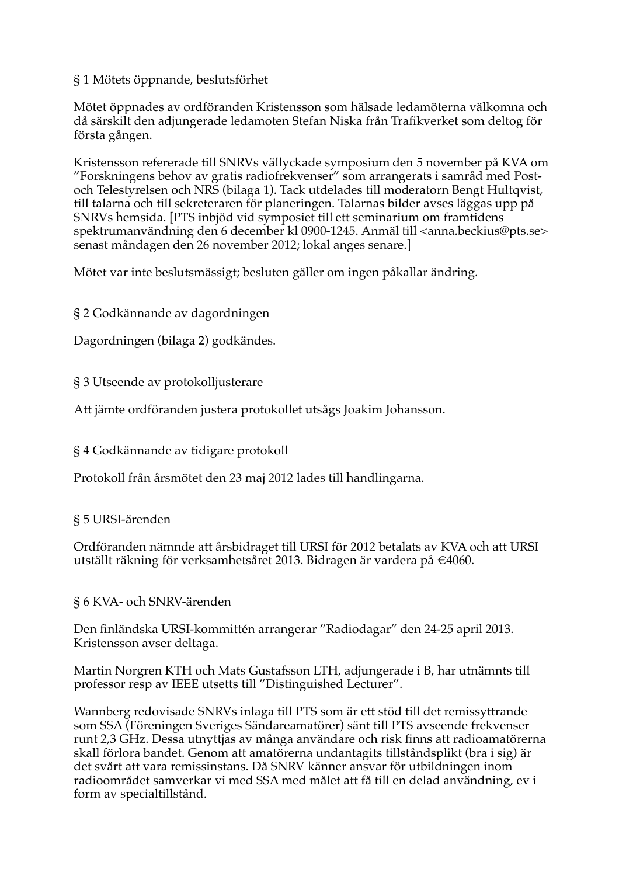#### §1 Mötets öppnande, beslutsförhet

Mötet öppnades av ordföranden Kristensson som hälsade ledamöterna välkomna och då särskilt den adjungerade ledamoten Stefan Niska från Trafikverket som deltog för första gången.

Kristensson refererade till SNRVs vällyckade symposium den 5 november på KVA om "Forskningens behov av gratis radiofrekvenser" som arrangerats i samråd med Postoch Telestyrelsen och NRS (bilaga 1). Tack utdelades till moderatorn Bengt Hultqvist, till talarna och till sekreteraren för planeringen. Talarnas bilder avses läggas upp på SNRVs hemsida. [PTS inbjöd vid symposiet till ett seminarium om framtidens spektrumanvändning den 6 december kl 0900-1245. Anmäl till <anna.beckius@pts.se> senast måndagen den 26 november 2012; lokal anges senare.

Mötet var inte beslutsmässigt; besluten gäller om ingen påkallar ändring.

§ 2 Godkännande av dagordningen

Dagordningen (bilaga 2) godkändes.

§ 3 Utseende av protokolljusterare

Att jämte ordföranden justera protokollet utsågs Joakim Johansson.

§ 4 Godkännande av tidigare protokoll

Protokoll från årsmötet den 23 maj 2012 lades till handlingarna.

#### § 5 URSI-ärenden

Ordföranden nämnde att årsbidraget till URSI för 2012 betalats av KVA och att URSI utställt räkning för verksamhetsåret 2013. Bidragen är vardera på €4060.

§ 6 KVA- och SNRV-ärenden

Den finländska URSI-kommittén arrangerar "Radiodagar" den 24-25 april 2013. Kristensson avser deltaga.

Martin Norgren KTH och Mats Gustafsson LTH, adjungerade i B, har utnämnts till professor resp av IEEE utsetts till "Distinguished Lecturer".

Wannberg redovisade SNRVs inlaga till PTS som är ett stöd till det remissyttrande som SSA (Föreningen Sveriges Sändareamatörer) sänt till PTS avseende frekvenser runt 2,3 GHz. Dessa utnyttjas av många användare och risk finns att radioamatörerna skall förlora bandet. Genom att amatörerna undantagits tillståndsplikt (bra i sig) är det svårt att vara remissinstans. Då SNRV känner ansvar för utbildningen inom radioområdet samverkar vi med SSA med målet att få till en delad användning, ev i form av specialtillstånd.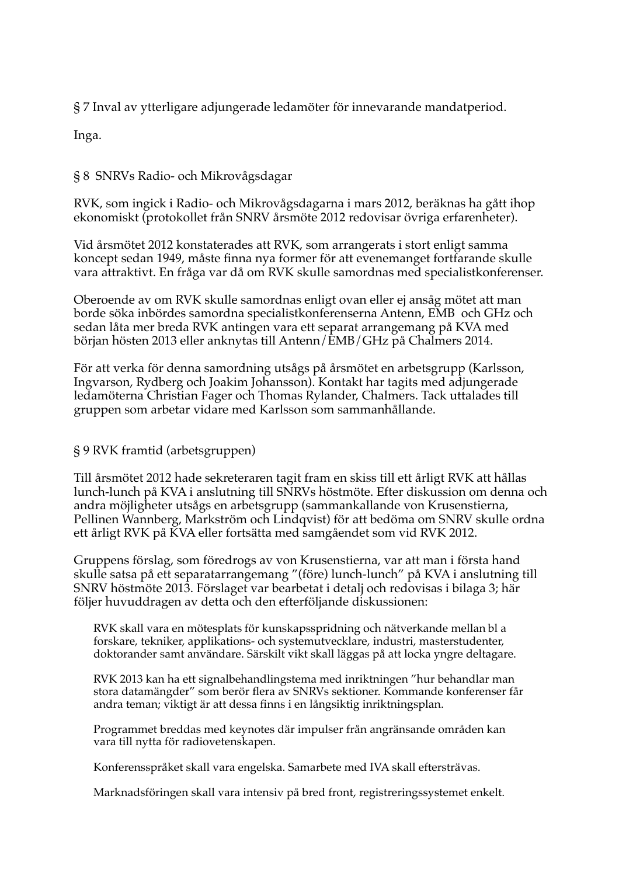§ 7 Inval av ytterligare adjungerade ledamöter för innevarande mandatperiod.

Inga.

#### § 8 SNRVs Radio- och Mikrovågsdagar

RVK, som ingick i Radio- och Mikrovågsdagarna i mars 2012, beräknas ha gått ihop ekonomiskt (protokollet från SNRV årsmöte 2012 redovisar övriga erfarenheter).

Vid årsmötet 2012 konstaterades att RVK, som arrangerats i stort enligt samma koncept sedan 1949, måste finna nya former för att evenemanget fortfarande skulle vara attraktivt. En fråga var då om RVK skulle samordnas med specialistkonferenser.

Oberoende av om RVK skulle samordnas enligt ovan eller ej ansåg mötet att man borde söka inbördes samordna specialistkonferenserna Antenn, EMB och GHz och sedan låta mer breda RVK antingen vara ett separat arrangemang på KVA med början hösten 2013 eller anknytas till Antenn/EMB/GHz på Chalmers 2014.

För att verka för denna samordning utsågs på årsmötet en arbetsgrupp (Karlsson, Ingvarson, Rydberg och Joakim Johansson). Kontakt har tagits med adjungerade ledamöterna Christian Fager och Thomas Rylander, Chalmers. Tack uttalades till gruppen som arbetar vidare med Karlsson som sammanhållande.

#### § 9 RVK framtid (arbetsgruppen)

Till årsmötet 2012 hade sekreteraren tagit fram en skiss till ett årligt RVK att hållas lunch-lunch på KVA i anslutning till SNRVs höstmöte. Efter diskussion om denna och andra möjligheter utsågs en arbetsgrupp (sammankallande von Krusenstierna, Pellinen Wannberg, Markström och Lindqvist) för att bedöma om SNRV skulle ordna ett årligt RVK på KVA eller fortsätta med samgåendet som vid RVK 2012.

Gruppens förslag, som föredrogs av von Krusenstierna, var att man i första hand skulle satsa på ett separatarrangemang "(före) lunch-lunch" på KVA i anslutning till SNRV höstmöte 2013. Förslaget var bearbetat i detalj och redovisas i bilaga 3; här följer huvuddragen av detta och den efterföljande diskussionen:

RVK skall vara en mötesplats för kunskapsspridning och nätverkande mellan bl a forskare, tekniker, applikations- och systemutvecklare, industri, masterstudenter, doktorander samt användare. Särskilt vikt skall läggas på att locka yngre deltagare.

RVK 2013 kan ha ett signalbehandlingstema med inriktningen "hur behandlar man stora datamängder" som berör flera av SNRVs sektioner. Kommande konferenser får andra teman; viktigt är att dessa finns i en långsiktig inriktningsplan.

Programmet breddas med keynotes där impulser från angränsande områden kan vara till nytta för radiovetenskapen.

Konferensspråket skall vara engelska. Samarbete med IVA skall eftersträvas.

Marknadsföringen skall vara intensiv på bred front, registreringssystemet enkelt.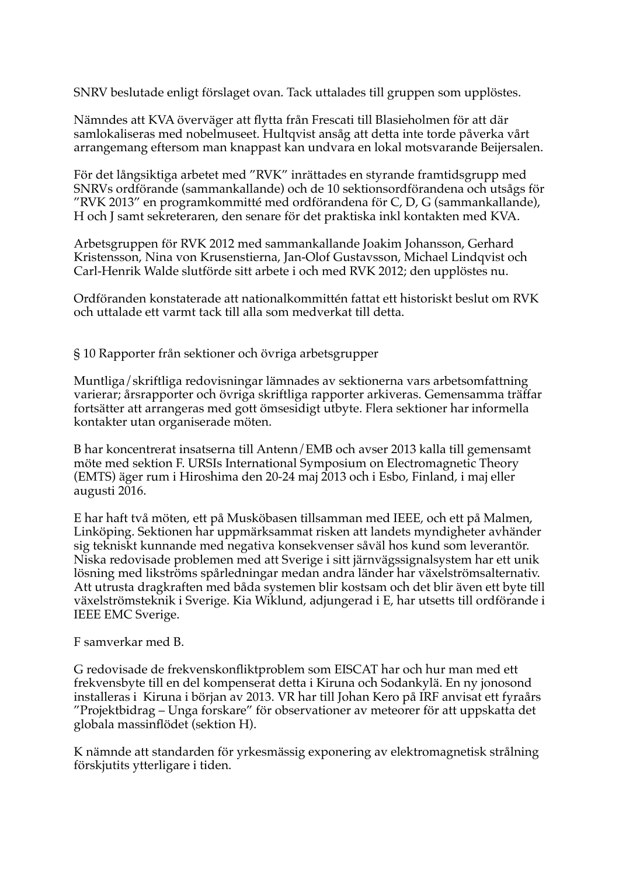SNRV beslutade enligt förslaget ovan. Tack uttalades till gruppen som upplöstes.

Nämndes att KVA överväger att flytta från Frescati till Blasieholmen för att där samlokaliseras med nobelmuseet. Hultqvist ansåg att detta inte torde påverka vårt arrangemang eftersom man knappast kan undvara en lokal motsvarande Beijersalen.

För det långsiktiga arbetet med "RVK" inrättades en styrande framtidsgrupp med SNRVs ordförande (sammankallande) och de 10 sektionsordförandena och utsågs för "RVK 2013" en programkommitté med ordförandena för C, D, G (sammankallande), H och J samt sekreteraren, den senare för det praktiska inkl kontakten med KVA.

Arbetsgruppen för RVK 2012 med sammankallande Joakim Johansson, Gerhard Kristensson, Nina von Krusenstierna, Jan-Olof Gustavsson, Michael Lindqvist och Carl-Henrik Walde slutförde sitt arbete i och med RVK 2012; den upplöstes nu.

Ordföranden konstaterade att nationalkommittén fattat ett historiskt beslut om RVK och uttalade ett varmt tack till alla som medverkat till detta.

§ 10 Rapporter från sektioner och övriga arbetsgrupper

Muntliga/skriftliga redovisningar lämnades av sektionerna vars arbetsomfattning varierar; årsrapporter och övriga skriftliga rapporter arkiveras. Gemensamma träffar fortsätter att arrangeras med gott ömsesidigt utbyte. Flera sektioner har informella kontakter utan organiserade möten.

B har koncentrerat insatserna till Antenn/EMB och avser 2013 kalla till gemensamt möte med sektion F. URSIs International Symposium on Electromagnetic Theory (EMTS) äger rum i Hiroshima den 20-24 maj 2013 och i Esbo, Finland, i maj eller augusti 2016.

E har haft två möten, ett på Musköbasen tillsamman med IEEE, och ett på Malmen, Linköping. Sektionen har uppmärksammat risken att landets myndigheter avhänder sig tekniskt kunnande med negativa konsekvenser såväl hos kund som leverantör. Niska redovisade problemen med att Sverige i sitt järnvägssignalsystem har ett unik lösning med likströms spårledningar medan andra länder har växelströmsalternativ. Att utrusta dragkraften med båda systemen blir kostsam och det blir även ett byte till växelströmsteknik i Sverige. Kia Wiklund, adjungerad i E, har utsetts till ordförande i **IEEE EMC Sverige.** 

F samverkar med B.

G redovisade de frekvenskonfliktproblem som EISCAT har och hur man med ett frekvensbyte till en del kompenserat detta i Kiruna och Sodankylä. En ny jonosond installeras i Kiruna i början av 2013. VR har till Johan Kero på IRF anvisat ett fyraårs "Projektbidrag – Unga forskare" för observationer av meteorer för att uppskatta det globala massinflödet (sektion H).

K nämnde att standarden för yrkesmässig exponering av elektromagnetisk strålning förskjutits ytterligare i tiden.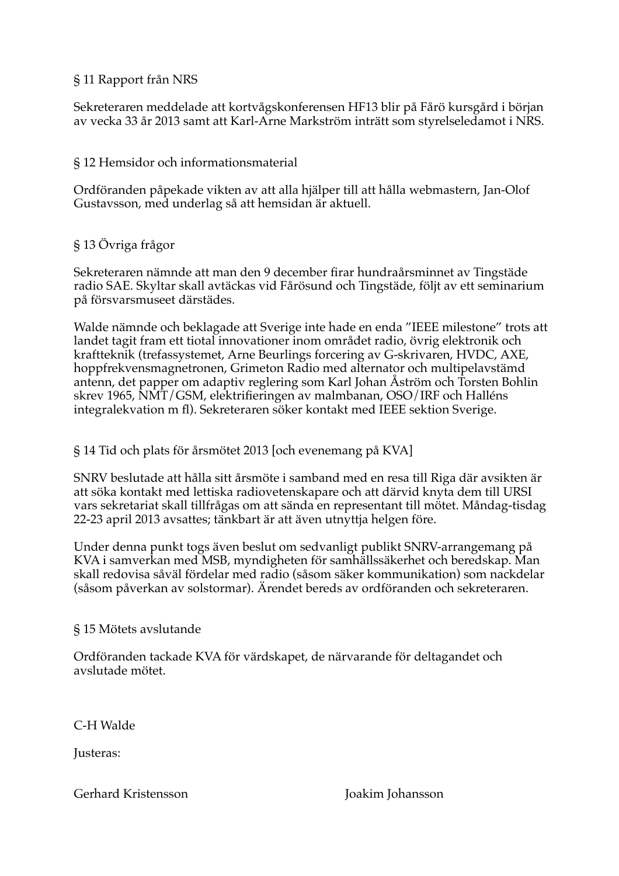#### § 11 Rapport från NRS

Sekreteraren meddelade att kortvågskonferensen HF13 blir på Fårö kursgård i början av vecka 33 år 2013 samt att Karl-Arne Markström inträtt som styrelseledamot i NRS.

#### § 12 Hemsidor och informationsmaterial

Ordföranden påpekade vikten av att alla hjälper till att hålla webmastern, Jan-Olof Gustavsson, med underlag så att hemsidan är aktuell.

#### § 13 Övriga frågor

Sekreteraren nämnde att man den 9 december firar hundraårsminnet av Tingstäde radio SAE. Skyltar skall avtäckas vid Fårösund och Tingstäde, följt av ett seminarium på försvarsmuseet därstädes.

Walde nämnde och beklagade att Sverige inte hade en enda "IEEE milestone" trots att landet tagit fram ett tiotal innovationer inom området radio, övrig elektronik och kraftteknik (trefassystemet, Arne Beurlings forcering av G-skrivaren, HVDC, AXE, hoppfrekvensmagnetronen, Grimeton Radio med alternator och multipelavstämd antenn, det papper om adaptiv reglering som Karl Johan Åström och Torsten Bohlin skrev 1965, NMT/GSM, elektrifieringen av malmbanan, OSO/IRF och Halléns integralekvation m fl). Sekreteraren söker kontakt med IEEE sektion Sverige.

#### § 14 Tid och plats för årsmötet 2013 [och evenemang på KVA]

SNRV beslutade att hålla sitt årsmöte i samband med en resa till Riga där avsikten är att söka kontakt med lettiska radiovetenskapare och att därvid knyta dem till URSI vars sekretariat skall tillfrågas om att sända en representant till mötet. Måndag-tisdag 22-23 april 2013 avsattes; tänkbart är att även utnyttja helgen före.

Under denna punkt togs även beslut om sedvanligt publikt SNRV-arrangemang på KVA i samverkan med MSB, myndigheten för samhällssäkerhet och beredskap. Man skall redovisa såväl fördelar med radio (såsom säker kommunikation) som nackdelar (såsom påverkan av solstormar). Ärendet bereds av ordföranden och sekreteraren.

#### § 15 Mötets avslutande

Ordföranden tackade KVA för värdskapet, de närvarande för deltagandet och avslutade mötet.

C-H Walde

**Lusteras:** 

#### Gerhard Kristensson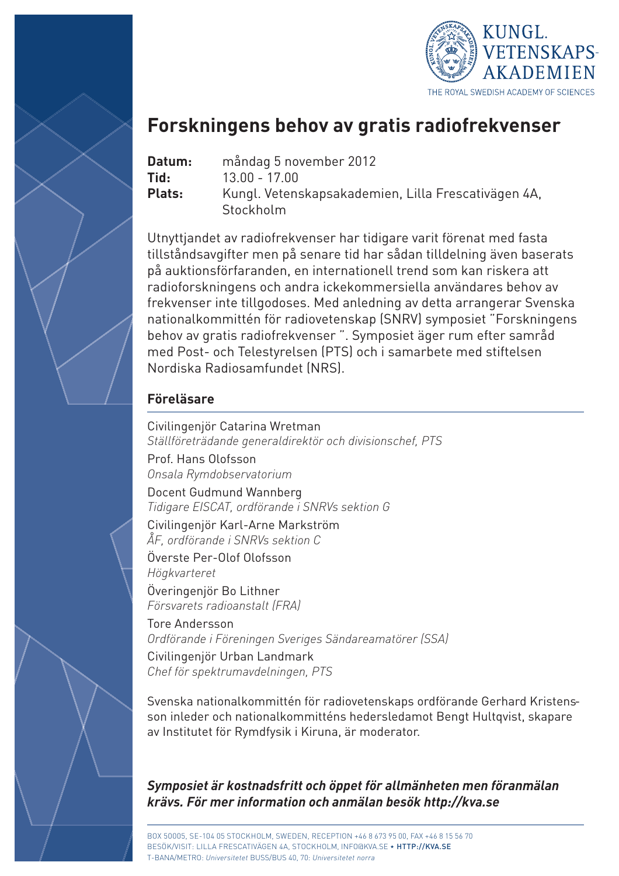

### **Forskningens behov av gratis radiofrekvenser**

- **Datum:** måndag 5 november 2012
- **Tid:** 13.00 17.00

**Plats:** Kungl. Vetenskapsakademien, Lilla Frescativägen 4A, Stockholm

Utnyttjandet av radiofrekvenser har tidigare varit förenat med fasta tillståndsavgifter men på senare tid har sådan tilldelning även baserats på auktionsförfaranden, en internationell trend som kan riskera att radioforskningens och andra ickekommersiella användares behov av frekvenser inte tillgodoses. Med anledning av detta arrangerar Svenska nationalkommittén för radiovetenskap (SNRV) symposiet "Forskningens behov av gratis radiofrekvenser ". Symposiet äger rum efter samråd med Post- och Telestyrelsen (PTS) och i samarbete med stiftelsen Nordiska Radiosamfundet (NRS).

### **Föreläsare**

Civilingenjör Catarina Wretman *Ställföreträdande generaldirektör och divisionschef, PTS*

Prof. Hans Olofsson *Onsala Rymdobservatorium*

Docent Gudmund Wannberg *Tidigare EISCAT, ordförande i SNRVs sektion G*

Civilingenjör Karl-Arne Markström *ÅF, ordförande i SNRVs sektion C*

Överste Per-Olof Olofsson *Högkvarteret*

Överingenjör Bo Lithner *Försvarets radioanstalt (FRA)*

Tore Andersson *Ordförande i Föreningen Sveriges Sändareamatörer (SSA)* Civilingenjör Urban Landmark

*Chef för spektrumavdelningen, PTS* 

Svenska nationalkommittén för radiovetenskaps ordförande Gerhard Kristensson inleder och nationalkommitténs hedersledamot Bengt Hultqvist, skapare av Institutet för Rymdfysik i Kiruna, är moderator.

*Symposiet är kostnadsfritt och öppet för allmänheten men föranmälan krävs. För mer information och anmälan besök http://kva.se*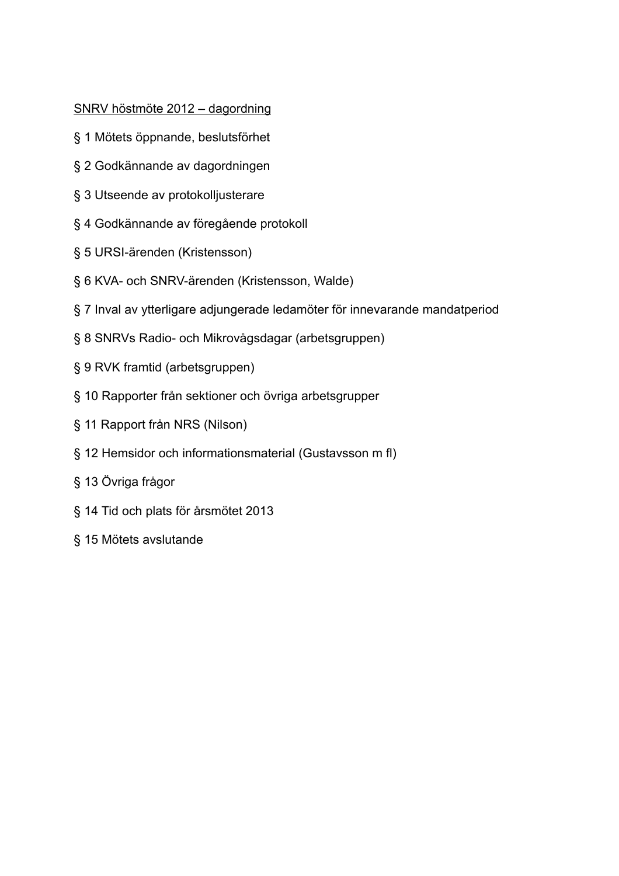#### SNRV höstmöte 2012 - dagordning

- § 1 Mötets öppnande, beslutsförhet
- § 2 Godkännande av dagordningen
- § 3 Utseende av protokolljusterare
- §4 Godkännande av föregående protokoll
- § 5 URSI-ärenden (Kristensson)
- § 6 KVA- och SNRV-ärenden (Kristensson, Walde)
- §7 Inval av ytterligare adjungerade ledamöter för innevarande mandatperiod
- § 8 SNRVs Radio- och Mikrovågsdagar (arbetsgruppen)
- § 9 RVK framtid (arbetsgruppen)
- § 10 Rapporter från sektioner och övriga arbetsgrupper
- § 11 Rapport från NRS (Nilson)
- § 12 Hemsidor och informationsmaterial (Gustavsson m fl)
- § 13 Övriga frågor
- § 14 Tid och plats för årsmötet 2013
- § 15 Mötets avslutande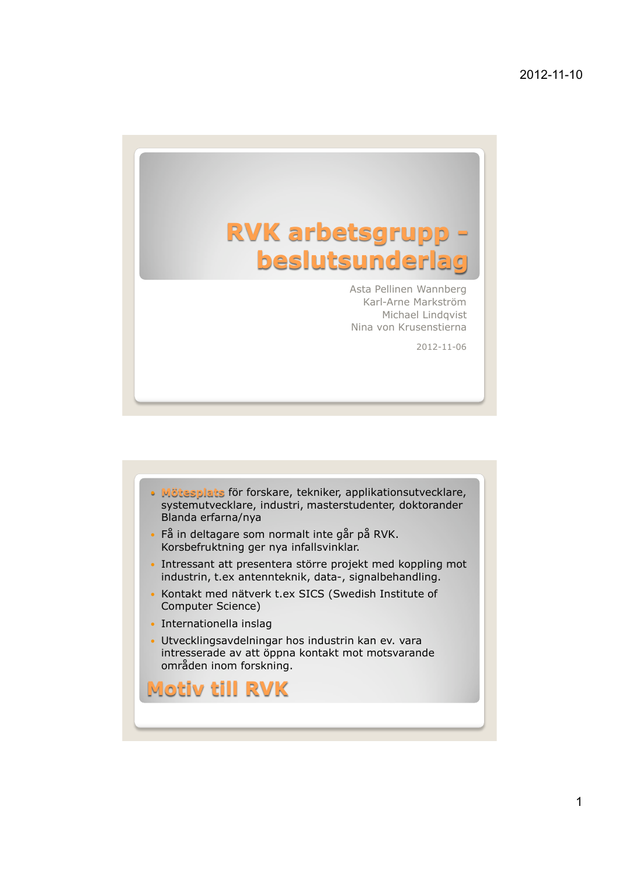

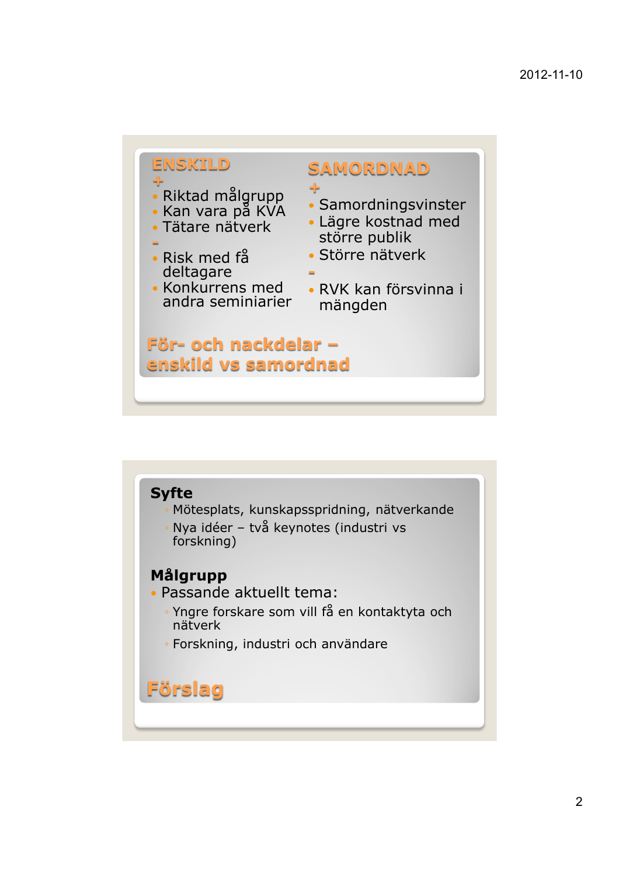

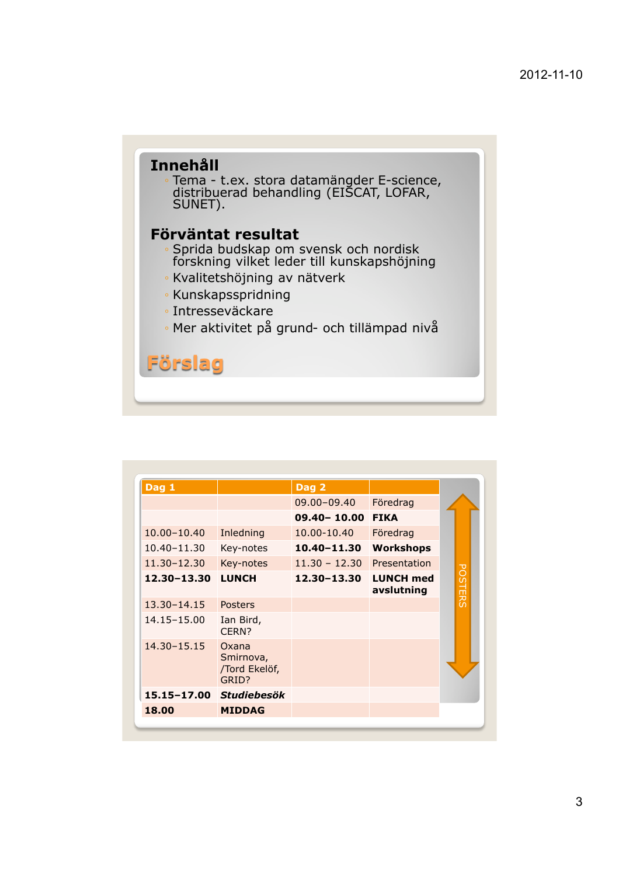# **Innehåll** Tema - t.ex. stora datamängder E-science,<br>distribuerad behandling (EISCAT, LOFAR,<br>SUNET). Förväntat resultat Sprida budskap om svensk och nordisk<br>forskning vilket leder till kunskapshöjning · Kvalitetshöjning av nätverk · Kunskapsspridning · Intresseväckare · Mer aktivitet på grund- och tillämpad nivå **Förslag**

| Dag 1       |                                              | Dag 2           |                                |                |
|-------------|----------------------------------------------|-----------------|--------------------------------|----------------|
|             |                                              | 09.00-09.40     | Föredrag                       |                |
|             |                                              | $09.40 - 10.00$ | <b>FIKA</b>                    |                |
| 10.00-10.40 | Inledning                                    | 10.00-10.40     | Föredrag                       |                |
| 10.40-11.30 | Key-notes                                    | $10.40 - 11.30$ | <b>Workshops</b>               |                |
| 11.30-12.30 | Key-notes                                    | $11.30 - 12.30$ | Presentation                   |                |
| 12.30-13.30 | <b>LUNCH</b>                                 | 12.30-13.30     | <b>LUNCH med</b><br>avslutning | <b>POSTERS</b> |
| 13.30-14.15 | Posters                                      |                 |                                |                |
| 14.15-15.00 | Ian Bird,<br>CFRN?                           |                 |                                |                |
| 14.30-15.15 | Oxana<br>Smirnova,<br>/Tord Ekelöf,<br>GRID? |                 |                                |                |
| 15.15-17.00 | <b>Studiebesök</b>                           |                 |                                |                |
| 18.00       | <b>MIDDAG</b>                                |                 |                                |                |